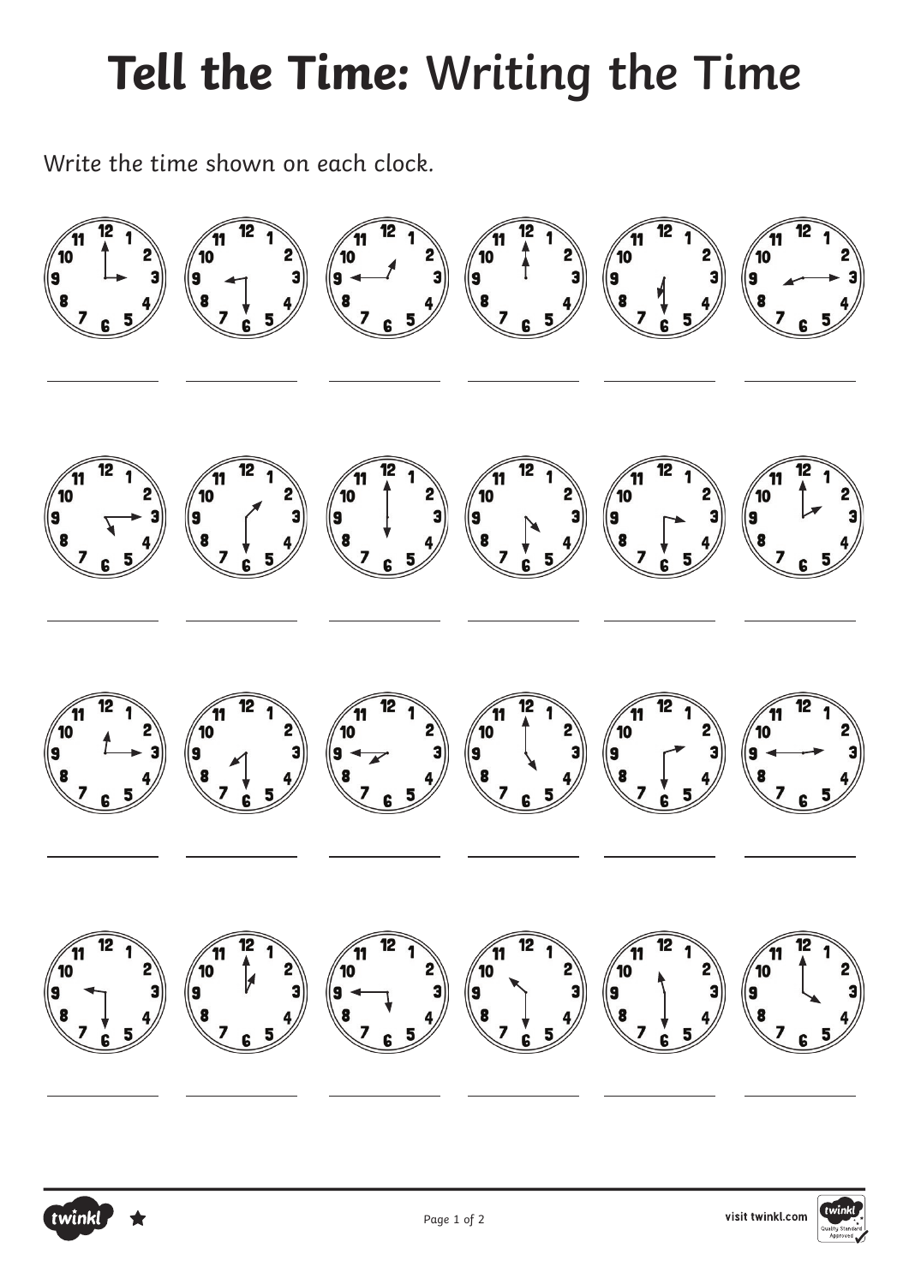## **Tell the Time: Writing the Time**

Write the time shown on each clock.

twinkl



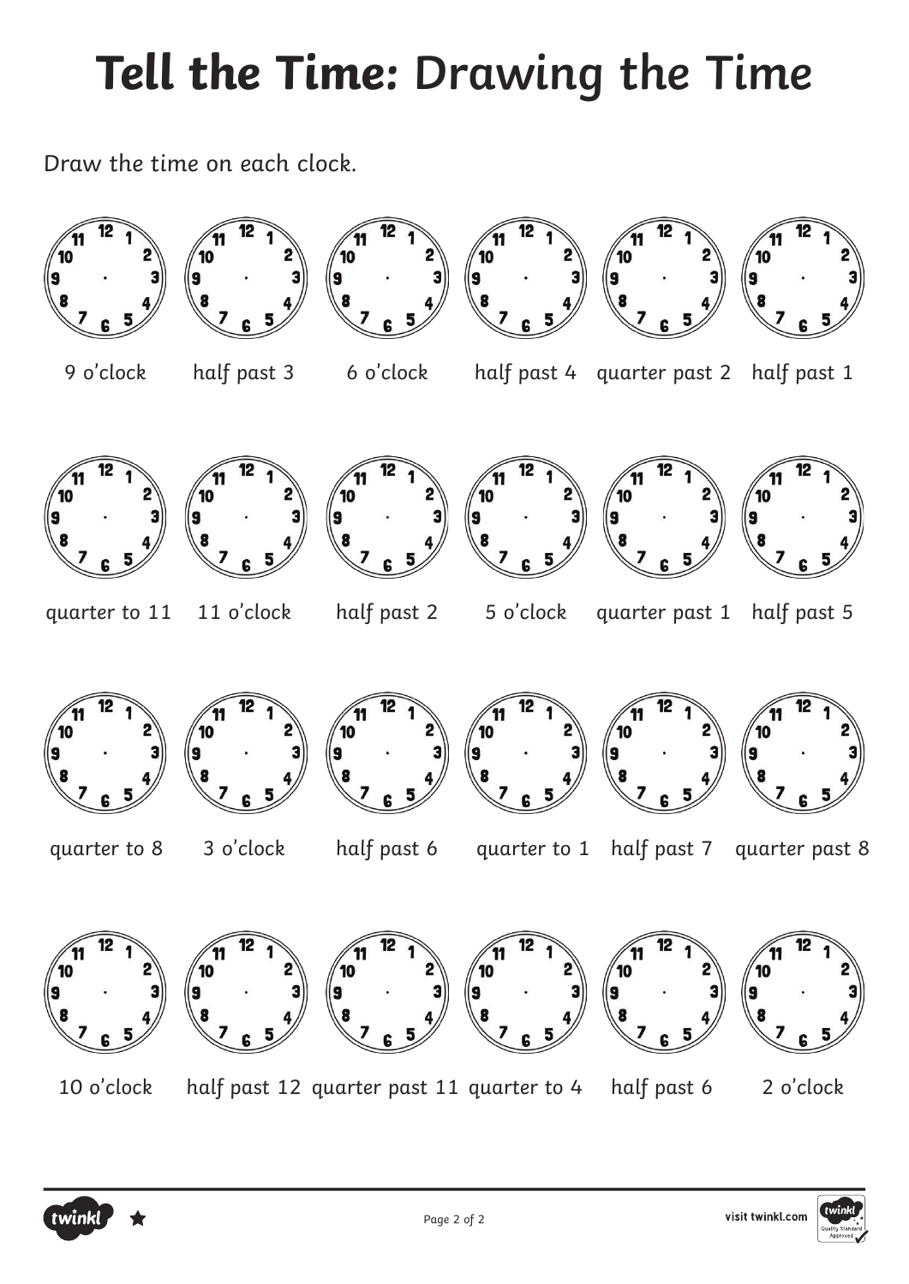## **Tell the Time: Drawing the Time**

Draw the time on each clock.



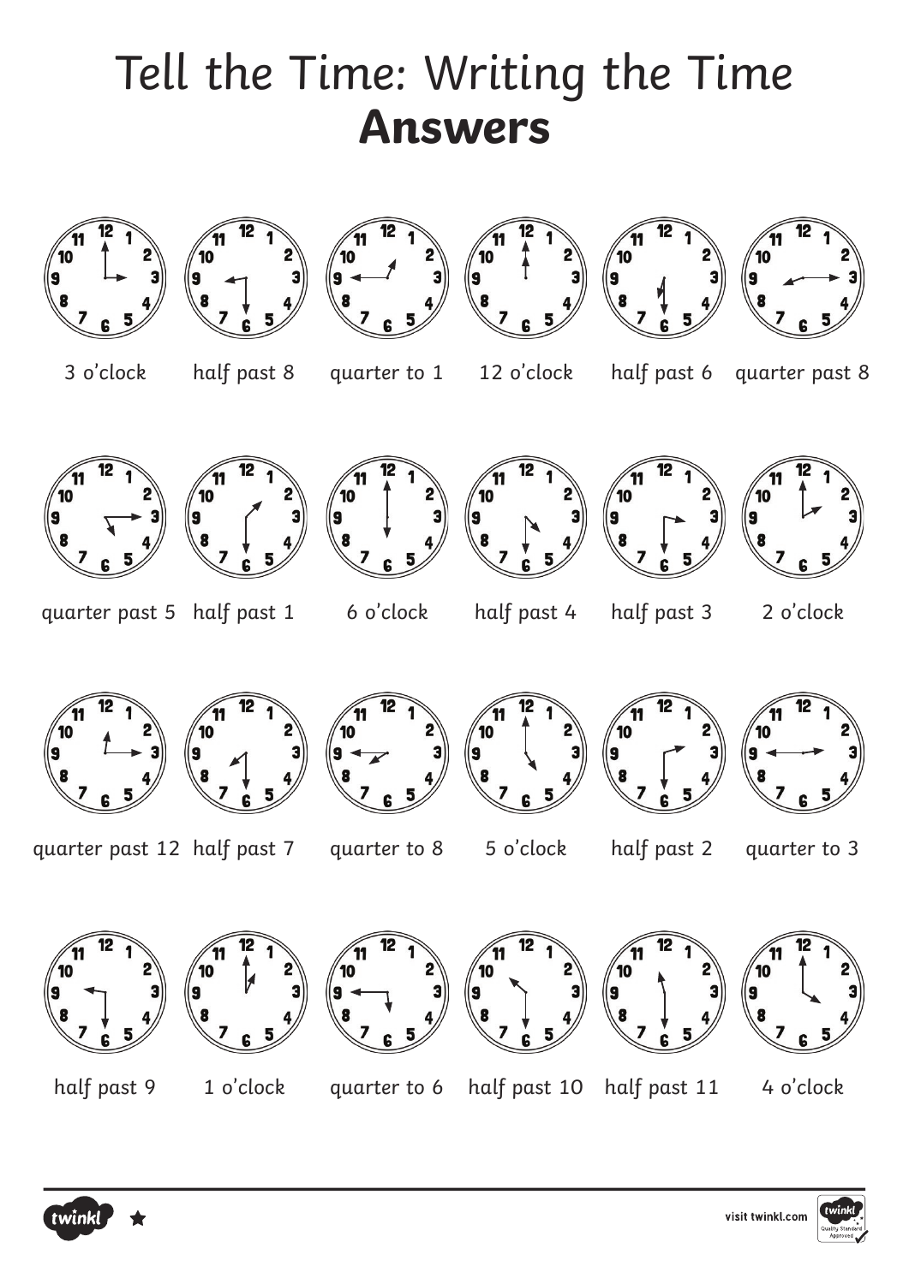## Tell the Time: Writing the Time **Answers**



twink